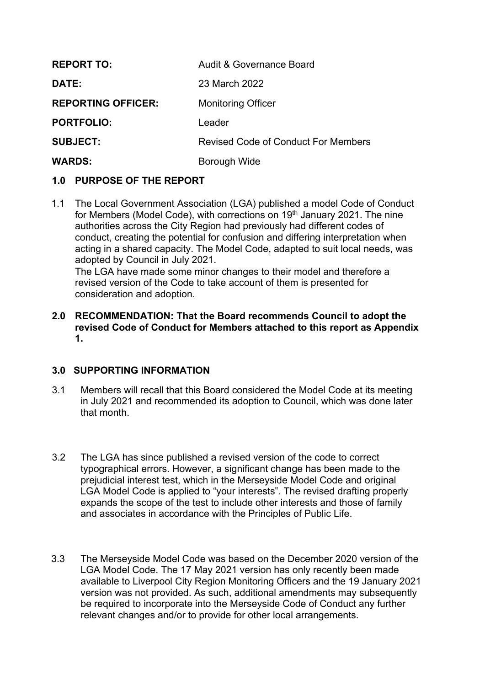| <b>REPORT TO:</b>         | Audit & Governance Board            |
|---------------------------|-------------------------------------|
| <b>DATE:</b>              | 23 March 2022                       |
| <b>REPORTING OFFICER:</b> | <b>Monitoring Officer</b>           |
| <b>PORTFOLIO:</b>         | Leader                              |
| <b>SUBJECT:</b>           | Revised Code of Conduct For Members |
| <b>WARDS:</b>             | Borough Wide                        |

# **1.0 PURPOSE OF THE REPORT**

1.1 The Local Government Association (LGA) published a model Code of Conduct for Members (Model Code), with corrections on 19<sup>th</sup> January 2021. The nine authorities across the City Region had previously had different codes of conduct, creating the potential for confusion and differing interpretation when acting in a shared capacity. The Model Code, adapted to suit local needs, was adopted by Council in July 2021.

The LGA have made some minor changes to their model and therefore a revised version of the Code to take account of them is presented for consideration and adoption.

**2.0 RECOMMENDATION: That the Board recommends Council to adopt the revised Code of Conduct for Members attached to this report as Appendix 1.**

### **3.0 SUPPORTING INFORMATION**

- 3.1 Members will recall that this Board considered the Model Code at its meeting in July 2021 and recommended its adoption to Council, which was done later that month.
- 3.2 The LGA has since published a revised version of the code to correct typographical errors. However, a significant change has been made to the prejudicial interest test, which in the Merseyside Model Code and original LGA Model Code is applied to "your interests". The revised drafting properly expands the scope of the test to include other interests and those of family and associates in accordance with the Principles of Public Life.
- 3.3 The Merseyside Model Code was based on the December 2020 version of the LGA Model Code. The 17 May 2021 version has only recently been made available to Liverpool City Region Monitoring Officers and the 19 January 2021 version was not provided. As such, additional amendments may subsequently be required to incorporate into the Merseyside Code of Conduct any further relevant changes and/or to provide for other local arrangements.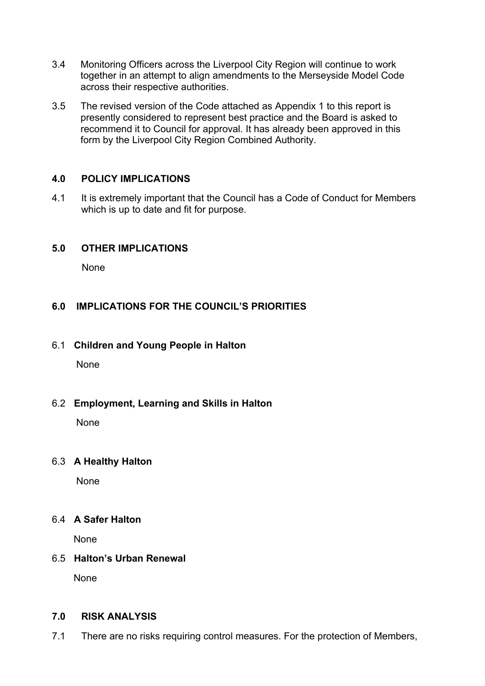- 3.4 Monitoring Officers across the Liverpool City Region will continue to work together in an attempt to align amendments to the Merseyside Model Code across their respective authorities.
- 3.5 The revised version of the Code attached as Appendix 1 to this report is presently considered to represent best practice and the Board is asked to recommend it to Council for approval. It has already been approved in this form by the Liverpool City Region Combined Authority.

### **4.0 POLICY IMPLICATIONS**

4.1 It is extremely important that the Council has a Code of Conduct for Members which is up to date and fit for purpose.

### **5.0 OTHER IMPLICATIONS**

None

### **6.0 IMPLICATIONS FOR THE COUNCIL'S PRIORITIES**

6.1 **Children and Young People in Halton**

None

6.2 **Employment, Learning and Skills in Halton**

None

### 6.3 **A Healthy Halton**

None

### 6.4 **A Safer Halton**

None

### 6.5 **Halton's Urban Renewal**

None

#### **7.0 RISK ANALYSIS**

7.1 There are no risks requiring control measures. For the protection of Members,